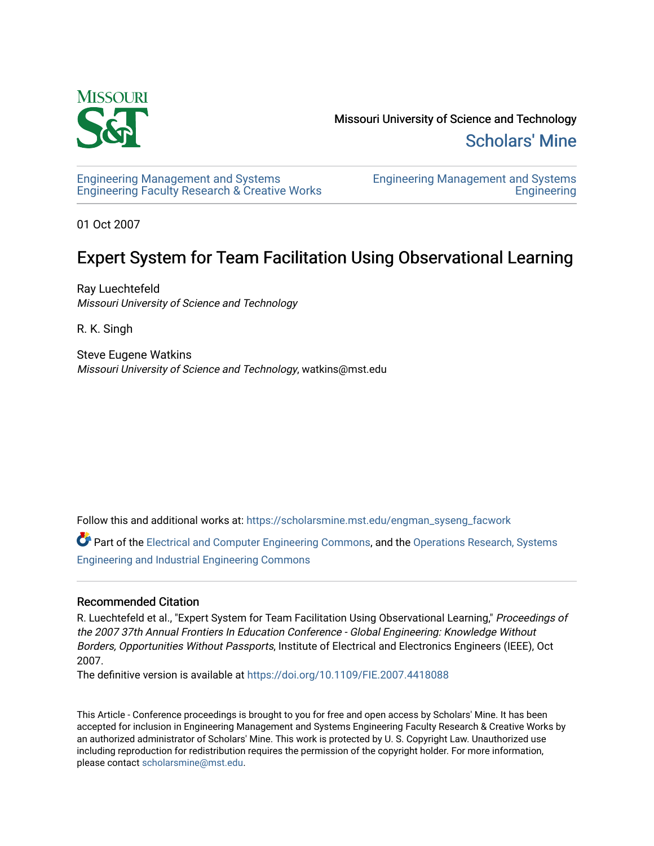

Missouri University of Science and Technology [Scholars' Mine](https://scholarsmine.mst.edu/) 

[Engineering Management and Systems](https://scholarsmine.mst.edu/engman_syseng_facwork)  [Engineering Faculty Research & Creative Works](https://scholarsmine.mst.edu/engman_syseng_facwork) [Engineering Management and Systems](https://scholarsmine.mst.edu/engman_syseng)  **Engineering** 

01 Oct 2007

# Expert System for Team Facilitation Using Observational Learning

Ray Luechtefeld Missouri University of Science and Technology

R. K. Singh

Steve Eugene Watkins Missouri University of Science and Technology, watkins@mst.edu

Follow this and additional works at: [https://scholarsmine.mst.edu/engman\\_syseng\\_facwork](https://scholarsmine.mst.edu/engman_syseng_facwork?utm_source=scholarsmine.mst.edu%2Fengman_syseng_facwork%2F256&utm_medium=PDF&utm_campaign=PDFCoverPages) 

Part of the [Electrical and Computer Engineering Commons](http://network.bepress.com/hgg/discipline/266?utm_source=scholarsmine.mst.edu%2Fengman_syseng_facwork%2F256&utm_medium=PDF&utm_campaign=PDFCoverPages), and the [Operations Research, Systems](http://network.bepress.com/hgg/discipline/305?utm_source=scholarsmine.mst.edu%2Fengman_syseng_facwork%2F256&utm_medium=PDF&utm_campaign=PDFCoverPages) [Engineering and Industrial Engineering Commons](http://network.bepress.com/hgg/discipline/305?utm_source=scholarsmine.mst.edu%2Fengman_syseng_facwork%2F256&utm_medium=PDF&utm_campaign=PDFCoverPages) 

# Recommended Citation

R. Luechtefeld et al., "Expert System for Team Facilitation Using Observational Learning," Proceedings of the 2007 37th Annual Frontiers In Education Conference - Global Engineering: Knowledge Without Borders, Opportunities Without Passports, Institute of Electrical and Electronics Engineers (IEEE), Oct 2007.

The definitive version is available at <https://doi.org/10.1109/FIE.2007.4418088>

This Article - Conference proceedings is brought to you for free and open access by Scholars' Mine. It has been accepted for inclusion in Engineering Management and Systems Engineering Faculty Research & Creative Works by an authorized administrator of Scholars' Mine. This work is protected by U. S. Copyright Law. Unauthorized use including reproduction for redistribution requires the permission of the copyright holder. For more information, please contact [scholarsmine@mst.edu.](mailto:scholarsmine@mst.edu)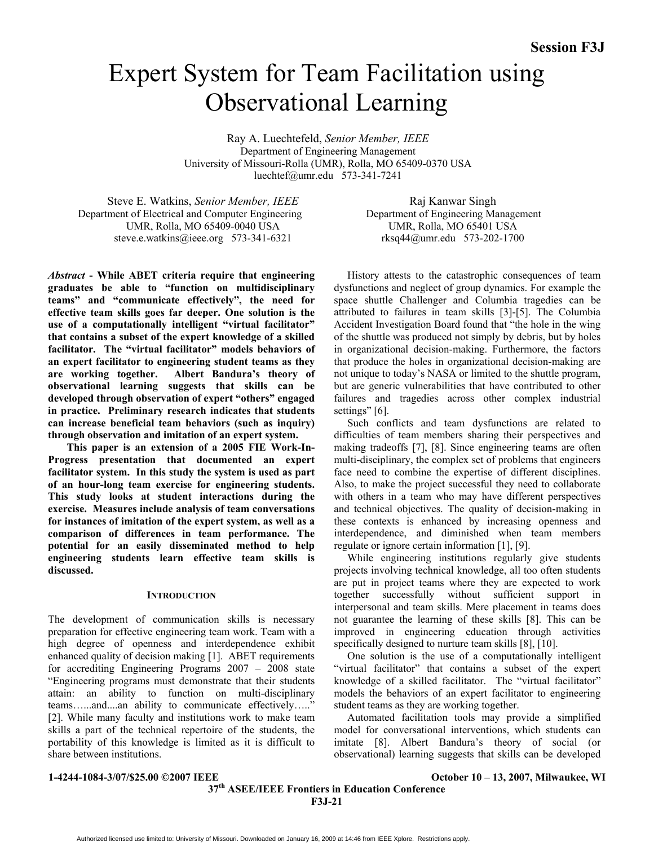# Expert System for Team Facilitation using Observational Learning

Ray A. Luechtefeld, *Senior Member, IEEE* Department of Engineering Management University of Missouri-Rolla (UMR), Rolla, MO 65409-0370 USA luechtef@umr.edu 573-341-7241

Steve E. Watkins, *Senior Member, IEEE* Raj Kanwar Singh Department of Electrical and Computer Engineering Department of Engineering Management UMR, Rolla, MO 65409-0040 USA UMR, Rolla, MO 65401 USA steve.e.watkins@ieee.org 573-341-6321 rksq44@umr.edu 573-202-1700

*Abstract* **- While ABET criteria require that engineering graduates be able to "function on multidisciplinary teams" and "communicate effectively", the need for effective team skills goes far deeper. One solution is the use of a computationally intelligent "virtual facilitator" that contains a subset of the expert knowledge of a skilled facilitator. The "virtual facilitator" models behaviors of an expert facilitator to engineering student teams as they are working together. Albert Bandura's theory of observational learning suggests that skills can be developed through observation of expert "others" engaged in practice. Preliminary research indicates that students can increase beneficial team behaviors (such as inquiry) through observation and imitation of an expert system.** 

 **This paper is an extension of a 2005 FIE Work-In-Progress presentation that documented an expert facilitator system. In this study the system is used as part of an hour-long team exercise for engineering students. This study looks at student interactions during the exercise. Measures include analysis of team conversations for instances of imitation of the expert system, as well as a comparison of differences in team performance. The potential for an easily disseminated method to help engineering students learn effective team skills is discussed.** 

# **INTRODUCTION**

The development of communication skills is necessary preparation for effective engineering team work. Team with a high degree of openness and interdependence exhibit enhanced quality of decision making [1]. ABET requirements for accrediting Engineering Programs 2007 – 2008 state "Engineering programs must demonstrate that their students attain: an ability to function on multi-disciplinary teams…...and....an ability to communicate effectively….." [2]. While many faculty and institutions work to make team skills a part of the technical repertoire of the students, the portability of this knowledge is limited as it is difficult to share between institutions.

 History attests to the catastrophic consequences of team dysfunctions and neglect of group dynamics. For example the space shuttle Challenger and Columbia tragedies can be attributed to failures in team skills [3]-[5]. The Columbia Accident Investigation Board found that "the hole in the wing of the shuttle was produced not simply by debris, but by holes in organizational decision-making. Furthermore, the factors that produce the holes in organizational decision-making are not unique to today's NASA or limited to the shuttle program, but are generic vulnerabilities that have contributed to other failures and tragedies across other complex industrial settings" [6].

 Such conflicts and team dysfunctions are related to difficulties of team members sharing their perspectives and making tradeoffs [7], [8]. Since engineering teams are often multi-disciplinary, the complex set of problems that engineers face need to combine the expertise of different disciplines. Also, to make the project successful they need to collaborate with others in a team who may have different perspectives and technical objectives. The quality of decision-making in these contexts is enhanced by increasing openness and interdependence, and diminished when team members regulate or ignore certain information [1], [9].

 While engineering institutions regularly give students projects involving technical knowledge, all too often students are put in project teams where they are expected to work together successfully without sufficient support in interpersonal and team skills. Mere placement in teams does not guarantee the learning of these skills [8]. This can be improved in engineering education through activities specifically designed to nurture team skills [8], [10].

 One solution is the use of a computationally intelligent "virtual facilitator" that contains a subset of the expert knowledge of a skilled facilitator. The "virtual facilitator" models the behaviors of an expert facilitator to engineering student teams as they are working together.

 Automated facilitation tools may provide a simplified model for conversational interventions, which students can imitate [8]. Albert Bandura's theory of social (or observational) learning suggests that skills can be developed

# **1-4244-1084-3/07/\$25.00 ©2007 IEEE October 10 – 13, 2007, Milwaukee, WI**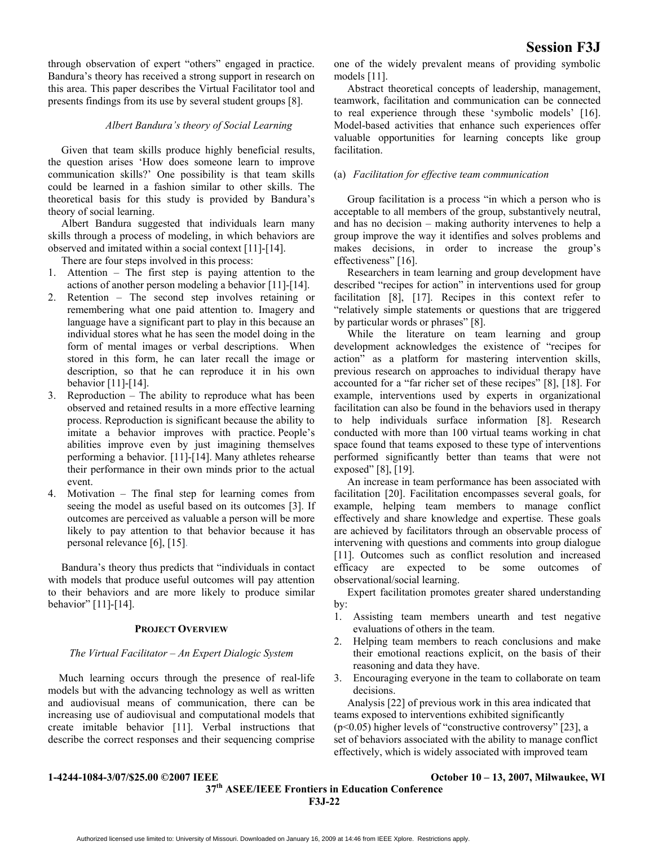through observation of expert "others" engaged in practice. Bandura's theory has received a strong support in research on this area. This paper describes the Virtual Facilitator tool and presents findings from its use by several student groups [8].

# *Albert Bandura's theory of Social Learning*

 Given that team skills produce highly beneficial results, the question arises 'How does someone learn to improve communication skills?' One possibility is that team skills could be learned in a fashion similar to other skills. The theoretical basis for this study is provided by Bandura's theory of social learning.

 Albert Bandura suggested that individuals learn many skills through a process of modeling, in which behaviors are observed and imitated within a social context [11]-[14].

There are four steps involved in this process:

- 1. Attention The first step is paying attention to the actions of another person modeling a behavior [11]-[14].
- 2. Retention The second step involves retaining or remembering what one paid attention to. Imagery and language have a significant part to play in this because an individual stores what he has seen the model doing in the form of mental images or verbal descriptions. When stored in this form, he can later recall the image or description, so that he can reproduce it in his own behavior [11]-[14].
- 3. Reproduction The ability to reproduce what has been observed and retained results in a more effective learning process. Reproduction is significant because the ability to imitate a behavior improves with practice. People's abilities improve even by just imagining themselves performing a behavior. [11]-[14]. Many athletes rehearse their performance in their own minds prior to the actual event.
- 4. Motivation The final step for learning comes from seeing the model as useful based on its outcomes [3]. If outcomes are perceived as valuable a person will be more likely to pay attention to that behavior because it has personal relevance [6], [15].

 Bandura's theory thus predicts that "individuals in contact with models that produce useful outcomes will pay attention to their behaviors and are more likely to produce similar behavior" [11]-[14].

# **PROJECT OVERVIEW**

# *The Virtual Facilitator – An Expert Dialogic System*

Much learning occurs through the presence of real-life models but with the advancing technology as well as written and audiovisual means of communication, there can be increasing use of audiovisual and computational models that create imitable behavior [11]. Verbal instructions that describe the correct responses and their sequencing comprise

one of the widely prevalent means of providing symbolic models [11].

 Abstract theoretical concepts of leadership, management, teamwork, facilitation and communication can be connected to real experience through these 'symbolic models' [16]. Model-based activities that enhance such experiences offer valuable opportunities for learning concepts like group facilitation.

# (a) *Facilitation for effective team communication*

 Group facilitation is a process "in which a person who is acceptable to all members of the group, substantively neutral, and has no decision – making authority intervenes to help a group improve the way it identifies and solves problems and makes decisions, in order to increase the group's effectiveness" [16].

 Researchers in team learning and group development have described "recipes for action" in interventions used for group facilitation [8], [17]. Recipes in this context refer to "relatively simple statements or questions that are triggered by particular words or phrases" [8].

 While the literature on team learning and group development acknowledges the existence of "recipes for action" as a platform for mastering intervention skills, previous research on approaches to individual therapy have accounted for a "far richer set of these recipes" [8], [18]. For example, interventions used by experts in organizational facilitation can also be found in the behaviors used in therapy to help individuals surface information [8]. Research conducted with more than 100 virtual teams working in chat space found that teams exposed to these type of interventions performed significantly better than teams that were not exposed" [8], [19].

 An increase in team performance has been associated with facilitation [20]. Facilitation encompasses several goals, for example, helping team members to manage conflict effectively and share knowledge and expertise. These goals are achieved by facilitators through an observable process of intervening with questions and comments into group dialogue [11]. Outcomes such as conflict resolution and increased efficacy are expected to be some outcomes of observational/social learning.

 Expert facilitation promotes greater shared understanding by:

- 1. Assisting team members unearth and test negative evaluations of others in the team.
- 2. Helping team members to reach conclusions and make their emotional reactions explicit, on the basis of their reasoning and data they have.
- 3. Encouraging everyone in the team to collaborate on team decisions.

 Analysis [22] of previous work in this area indicated that teams exposed to interventions exhibited significantly (p<0.05) higher levels of "constructive controversy" [23], a set of behaviors associated with the ability to manage conflict effectively, which is widely associated with improved team

### **1-4244-1084-3/07/\$25.00 ©2007 IEEE October 10 – 13, 2007, Milwaukee, WI**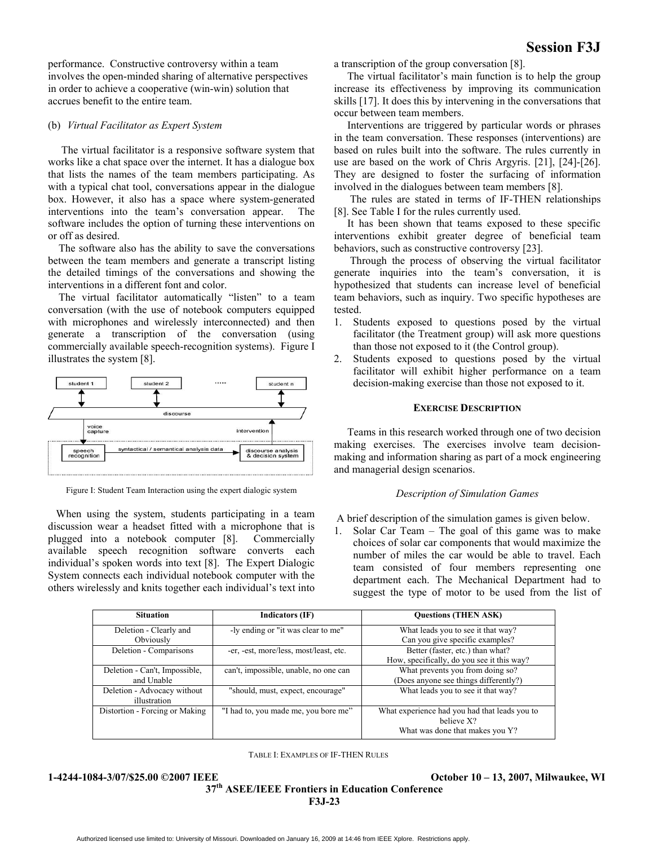performance. Constructive controversy within a team involves the open-minded sharing of alternative perspectives in order to achieve a cooperative (win-win) solution that accrues benefit to the entire team.

# (b) *Virtual Facilitator as Expert System*

 The virtual facilitator is a responsive software system that works like a chat space over the internet. It has a dialogue box that lists the names of the team members participating. As with a typical chat tool, conversations appear in the dialogue box. However, it also has a space where system-generated interventions into the team's conversation appear. The software includes the option of turning these interventions on or off as desired.

 The software also has the ability to save the conversations between the team members and generate a transcript listing the detailed timings of the conversations and showing the interventions in a different font and color.

 The virtual facilitator automatically "listen" to a team conversation (with the use of notebook computers equipped with microphones and wirelessly interconnected) and then generate a transcription of the conversation (using commercially available speech-recognition systems). Figure I illustrates the system [8].



Figure I: Student Team Interaction using the expert dialogic system

 When using the system, students participating in a team discussion wear a headset fitted with a microphone that is plugged into a notebook computer [8]. Commercially available speech recognition software converts each individual's spoken words into text [8]. The Expert Dialogic System connects each individual notebook computer with the others wirelessly and knits together each individual's text into a transcription of the group conversation [8].

 The virtual facilitator's main function is to help the group increase its effectiveness by improving its communication skills [17]. It does this by intervening in the conversations that occur between team members.

 Interventions are triggered by particular words or phrases in the team conversation. These responses (interventions) are based on rules built into the software. The rules currently in use are based on the work of Chris Argyris. [21], [24]-[26]. They are designed to foster the surfacing of information involved in the dialogues between team members [8].

 The rules are stated in terms of IF-THEN relationships [8]. See Table I for the rules currently used.

 It has been shown that teams exposed to these specific interventions exhibit greater degree of beneficial team behaviors, such as constructive controversy [23].

 Through the process of observing the virtual facilitator generate inquiries into the team's conversation, it is hypothesized that students can increase level of beneficial team behaviors, such as inquiry. Two specific hypotheses are tested.

- 1. Students exposed to questions posed by the virtual facilitator (the Treatment group) will ask more questions than those not exposed to it (the Control group).
- 2. Students exposed to questions posed by the virtual facilitator will exhibit higher performance on a team decision-making exercise than those not exposed to it.

# **EXERCISE DESCRIPTION**

Teams in this research worked through one of two decision making exercises. The exercises involve team decisionmaking and information sharing as part of a mock engineering and managerial design scenarios.

# *Description of Simulation Games*

A brief description of the simulation games is given below.

1. Solar Car Team – The goal of this game was to make choices of solar car components that would maximize the number of miles the car would be able to travel. Each team consisted of four members representing one department each. The Mechanical Department had to suggest the type of motor to be used from the list of

| <b>Situation</b>               | Indicators (IF)                        | <b>Questions (THEN ASK)</b>                   |
|--------------------------------|----------------------------------------|-----------------------------------------------|
| Deletion - Clearly and         | -ly ending or "it was clear to me"     | What leads you to see it that way?            |
| Obviously                      |                                        | Can you give specific examples?               |
| Deletion - Comparisons         | -er, -est, more/less, most/least, etc. | Better (faster, etc.) than what?              |
|                                |                                        | How, specifically, do you see it this way?    |
| Deletion - Can't, Impossible,  | can't, impossible, unable, no one can  | What prevents you from doing so?              |
| and Unable                     |                                        | (Does anyone see things differently?)         |
| Deletion - Advocacy without    | "should, must, expect, encourage"      | What leads you to see it that way?            |
| illustration                   |                                        |                                               |
| Distortion - Forcing or Making | "I had to, you made me, you bore me"   | What experience had you had that leads you to |
|                                |                                        | believe X?                                    |
|                                |                                        | What was done that makes you Y?               |

TABLE I: EXAMPLES OF IF-THEN RULES

**1-4244-1084-3/07/\$25.00 ©2007 IEEE October 10 – 13, 2007, Milwaukee, WI** 

# **37th ASEE/IEEE Frontiers in Education Conference F3J-23**

Authorized licensed use limited to: University of Missouri. Downloaded on January 16, 2009 at 14:46 from IEEE Xplore. Restrictions apply.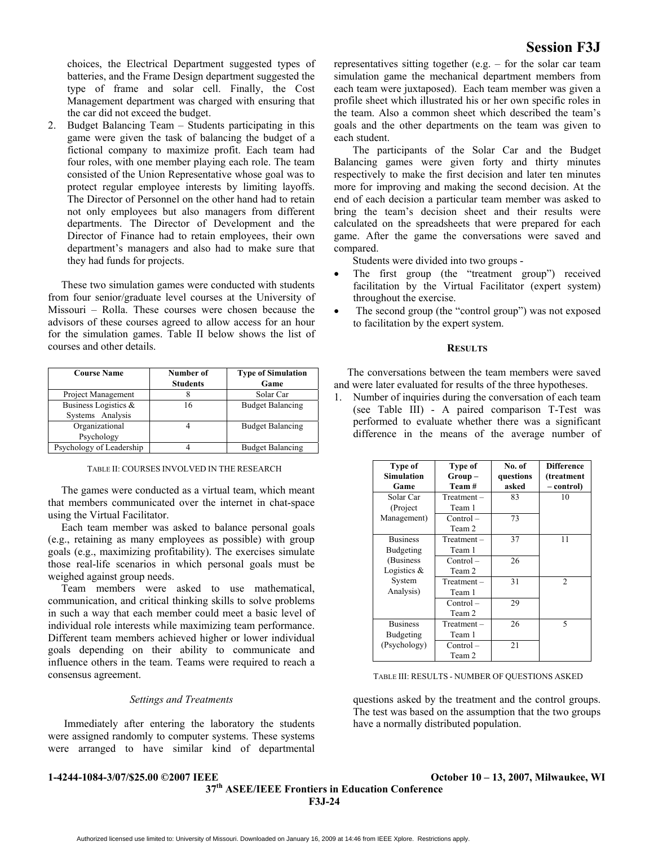choices, the Electrical Department suggested types of batteries, and the Frame Design department suggested the type of frame and solar cell. Finally, the Cost Management department was charged with ensuring that the car did not exceed the budget.

2. Budget Balancing Team – Students participating in this game were given the task of balancing the budget of a fictional company to maximize profit. Each team had four roles, with one member playing each role. The team consisted of the Union Representative whose goal was to protect regular employee interests by limiting layoffs. The Director of Personnel on the other hand had to retain not only employees but also managers from different departments. The Director of Development and the Director of Finance had to retain employees, their own department's managers and also had to make sure that they had funds for projects.

 These two simulation games were conducted with students from four senior/graduate level courses at the University of Missouri – Rolla. These courses were chosen because the advisors of these courses agreed to allow access for an hour for the simulation games. Table II below shows the list of courses and other details.

| <b>Course Name</b>       | Number of       | <b>Type of Simulation</b> |
|--------------------------|-----------------|---------------------------|
|                          | <b>Students</b> | Game                      |
| Project Management       |                 | Solar Car                 |
| Business Logistics &     | 16              | <b>Budget Balancing</b>   |
| Systems Analysis         |                 |                           |
| Organizational           |                 | <b>Budget Balancing</b>   |
| Psychology               |                 |                           |
| Psychology of Leadership |                 | <b>Budget Balancing</b>   |

TABLE II: COURSES INVOLVED IN THE RESEARCH **Type of** 

 The games were conducted as a virtual team, which meant that members communicated over the internet in chat-space using the Virtual Facilitator.

 Each team member was asked to balance personal goals (e.g., retaining as many employees as possible) with group goals (e.g., maximizing profitability). The exercises simulate those real-life scenarios in which personal goals must be weighed against group needs.

 Team members were asked to use mathematical, communication, and critical thinking skills to solve problems in such a way that each member could meet a basic level of individual role interests while maximizing team performance. Different team members achieved higher or lower individual goals depending on their ability to communicate and influence others in the team. Teams were required to reach a consensus agreement.

# *Settings and Treatments*

 Immediately after entering the laboratory the students were assigned randomly to computer systems. These systems were arranged to have similar kind of departmental representatives sitting together (e.g. – for the solar car team simulation game the mechanical department members from each team were juxtaposed). Each team member was given a profile sheet which illustrated his or her own specific roles in the team. Also a common sheet which described the team's goals and the other departments on the team was given to each student.

 The participants of the Solar Car and the Budget Balancing games were given forty and thirty minutes respectively to make the first decision and later ten minutes more for improving and making the second decision. At the end of each decision a particular team member was asked to bring the team's decision sheet and their results were calculated on the spreadsheets that were prepared for each game. After the game the conversations were saved and compared.

Students were divided into two groups -

- The first group (the "treatment group") received facilitation by the Virtual Facilitator (expert system) throughout the exercise.
- The second group (the "control group") was not exposed to facilitation by the expert system.

# **RESULTS**

 The conversations between the team members were saved and were later evaluated for results of the three hypotheses.

1. Number of inquiries during the conversation of each team (see Table III) - A paired comparison T-Test was performed to evaluate whether there was a significant difference in the means of the average number of

| Type of<br>Simulation | Type of<br>Group – | No. of<br>questions | <b>Difference</b><br>(treatment |
|-----------------------|--------------------|---------------------|---------------------------------|
| Game                  | Team#              | asked               | – control)                      |
| Solar Car             | Treatment-         | 83                  | 10                              |
| (Project              | Team 1             |                     |                                 |
| Management)           | $Control -$        | 73                  |                                 |
|                       | Team 2             |                     |                                 |
| <b>Business</b>       | $Treatment -$      | 37                  | 11                              |
| <b>Budgeting</b>      | Team 1             |                     |                                 |
| (Business             | $Control -$        | 26                  |                                 |
| Logistics $\&$        | Team 2             |                     |                                 |
| System                | Treatment-         | 31                  | $\mathfrak{D}$                  |
| Analysis)             | Team 1             |                     |                                 |
|                       | $Control -$        | 29                  |                                 |
|                       | Team 2             |                     |                                 |
| <b>Business</b>       | Treatment-         | 26                  | $\varsigma$                     |
| Budgeting             | Team 1             |                     |                                 |
| (Psychology)          | $Control -$        | 21                  |                                 |
|                       | Team 2             |                     |                                 |

TABLE III: RESULTS - NUMBER OF QUESTIONS ASKED

questions asked by the treatment and the control groups. The test was based on the assumption that the two groups have a normally distributed population.

**1-4244-1084-3/07/\$25.00 ©2007 IEEE October 10 – 13, 2007, Milwaukee, WI**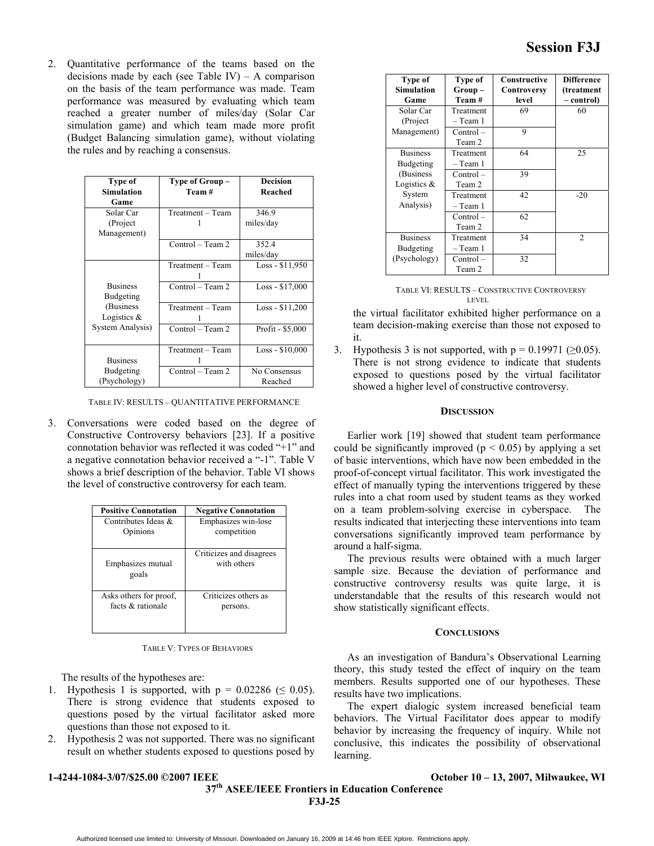2. Quantitative performance of the teams based on the decisions made by each (see Table IV) – A comparison on the basis of the team performance was made. Team performance was measured by evaluating which team reached a greater number of miles/day (Solar Car simulation game) and which team made more profit (Budget Balancing simulation game), without violating the rules and by reaching a consensus.

| Type of<br><b>Simulation</b> | Type of Group –<br>Team# | <b>Decision</b><br>Reached |
|------------------------------|--------------------------|----------------------------|
| Game                         |                          |                            |
| Solar Car                    | Treatment - Team         | 346.9                      |
| (Project                     |                          | miles/day                  |
| Management)                  |                          |                            |
|                              | Control – Team 2         | 352.4                      |
|                              |                          | miles/day                  |
|                              | Treatment – Team         | Loss - \$11,950            |
|                              |                          |                            |
| <b>Business</b>              | Control – Team 2         | $Loss - $17,000$           |
| <b>Budgeting</b>             |                          |                            |
| (Business)                   | Treatment - Team         | Loss - \$11,200            |
| Logistics $\&$               |                          |                            |
| System Analysis)             | Control - Team 2         | Profit - \$5,000           |
|                              |                          |                            |
|                              | Treatment - Team         | $Loss - $10,000$           |
| <b>Business</b>              |                          |                            |
| <b>Budgeting</b>             | Control – Team 2         | No Consensus               |
| (Psychology)                 |                          | Reached                    |

TABLE IV: RESULTS – QUANTITATIVE PERFORMANCE

3. Conversations were coded based on the degree of Constructive Controversy behaviors [23]. If a positive connotation behavior was reflected it was coded "+1" and a negative connotation behavior received a "-1". Table V shows a brief description of the behavior. Table VI shows the level of constructive controversy for each team.

| <b>Positive Connotation</b> | <b>Negative Connotation</b> |
|-----------------------------|-----------------------------|
| Contributes Ideas $\&$      | Emphasizes win-lose         |
| Opinions                    | competition                 |
| Emphasizes mutual           | Criticizes and disagrees    |
| goals                       | with others                 |
| Asks others for proof,      | Criticizes others as        |
| facts $\&$ rationale        | persons.                    |

TABLE V: TYPES OF BEHAVIORS

The results of the hypotheses are:

- 1. Hypothesis 1 is supported, with  $p = 0.02286 \le 0.05$ ). There is strong evidence that students exposed to questions posed by the virtual facilitator asked more questions than those not exposed to it.
- 2. Hypothesis 2 was not supported. There was no significant result on whether students exposed to questions posed by

# **1-4244-1084-3/07/\$25.00 ©2007 IEEE October 10 – 13, 2007, Milwaukee, WI**

| <b>Type of</b>    | Type of     | Constructive       | <b>Difference</b> |
|-------------------|-------------|--------------------|-------------------|
| <b>Simulation</b> | $Group-$    | <b>Controversy</b> | (treatment        |
| Game              | Team#       | level              | – control)        |
| Solar Car         | Treatment   | 69                 | 60                |
| (Project)         | $-$ Team 1  |                    |                   |
| Management)       | $Control -$ | 9                  |                   |
|                   | Team 2      |                    |                   |
| <b>Business</b>   | Treatment   | 64                 | 25                |
| <b>Budgeting</b>  | $-$ Team 1  |                    |                   |
| (Business)        | Control-    | 39                 |                   |
| Logistics $\&$    | Team 2      |                    |                   |
| System            | Treatment   | 42                 | $-20$             |
| Analysis)         | $-$ Team 1  |                    |                   |
|                   | Control-    | 62                 |                   |
|                   | Team 2      |                    |                   |
| <b>Business</b>   | Treatment   | 34                 | $\mathfrak{D}$    |
| Budgeting         | $-$ Team 1  |                    |                   |
| (Psychology)      | Control-    | 32                 |                   |
|                   | Team 2      |                    |                   |

 TABLE VI: RESULTS – CONSTRUCTIVE CONTROVERSY LEVEL

the virtual facilitator exhibited higher performance on a team decision-making exercise than those not exposed to it.

3. Hypothesis 3 is not supported, with  $p = 0.19971$  ( $\geq 0.05$ ). There is not strong evidence to indicate that students exposed to questions posed by the virtual facilitator showed a higher level of constructive controversy.

# **DISCUSSION**

 Earlier work [19] showed that student team performance could be significantly improved ( $p < 0.05$ ) by applying a set of basic interventions, which have now been embedded in the proof-of-concept virtual facilitator. This work investigated the effect of manually typing the interventions triggered by these rules into a chat room used by student teams as they worked on a team problem-solving exercise in cyberspace. The results indicated that interjecting these interventions into team conversations significantly improved team performance by around a half-sigma.

 The previous results were obtained with a much larger sample size. Because the deviation of performance and constructive controversy results was quite large, it is understandable that the results of this research would not show statistically significant effects.

# **CONCLUSIONS**

 As an investigation of Bandura's Observational Learning theory, this study tested the effect of inquiry on the team members. Results supported one of our hypotheses. These results have two implications.

 The expert dialogic system increased beneficial team behaviors. The Virtual Facilitator does appear to modify behavior by increasing the frequency of inquiry. While not conclusive, this indicates the possibility of observational learning.